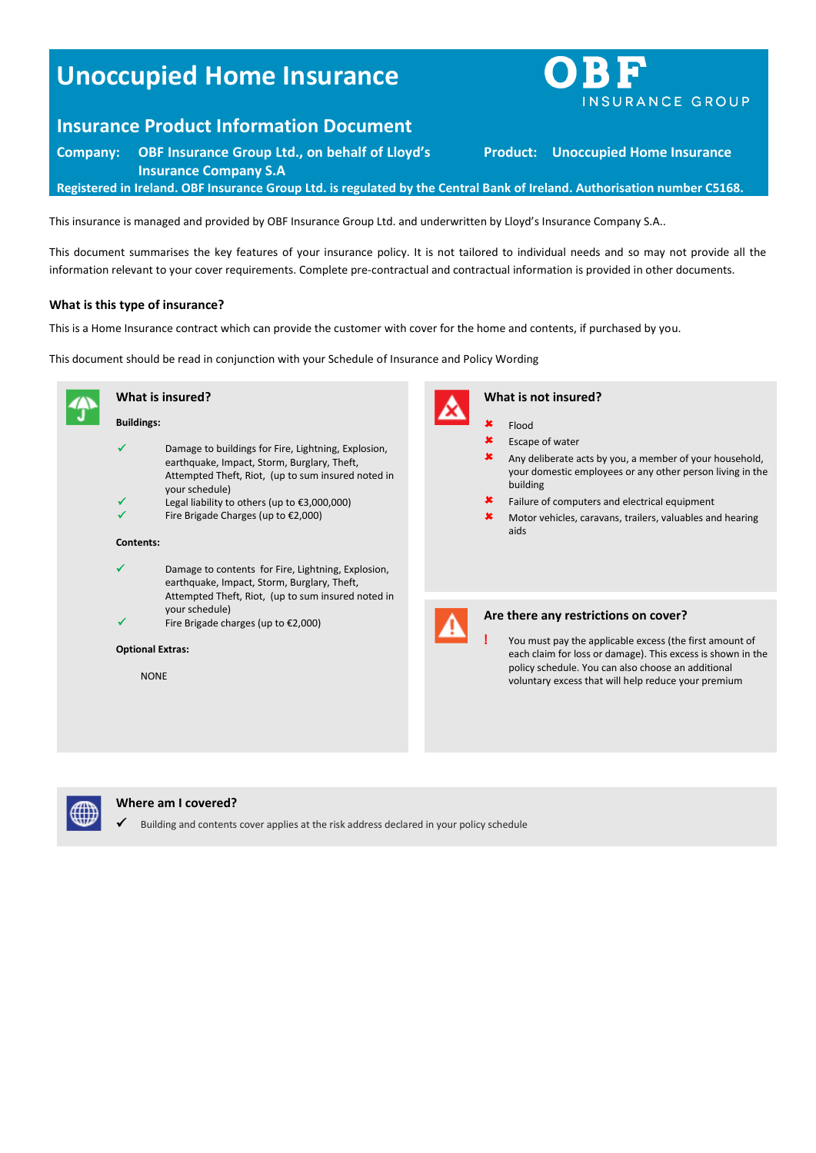# **Unoccupied Home Insurance**

# **Insurance Product Information Document**

**Company: OBF Insurance Group Ltd., on behalf of Lloyd's Insurance Company S.A**

**Registered in Ireland. OBF Insurance Group Ltd. is regulated by the Central Bank of Ireland. Authorisation number C5168.**

This insurance is managed and provided by OBF Insurance Group Ltd. and underwritten by Lloyd's Insurance Company S.A..

This document summarises the key features of your insurance policy. It is not tailored to individual needs and so may not provide all the information relevant to your cover requirements. Complete pre-contractual and contractual information is provided in other documents.

### **What is this type of insurance?**

This is a Home Insurance contract which can provide the customer with cover for the home and contents, if purchased by you.

This document should be read in conjunction with your Schedule of Insurance and Policy Wording





# **Where am I covered?**

Building and contents cover applies at the risk address declared in your policy schedule



**Product: Unoccupied Home Insurance**